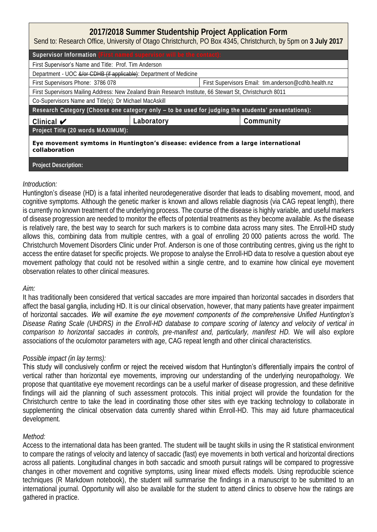# **2017/2018 Summer Studentship Project Application Form**

Send to: Research Office, University of Otago Christchurch, PO Box 4345, Christchurch, by 5pm on **3 July 2017**

| Supervisor Information (First named supervisor will be the contact):                                      |                                                                                                    |                                                      |  |  |
|-----------------------------------------------------------------------------------------------------------|----------------------------------------------------------------------------------------------------|------------------------------------------------------|--|--|
| First Supervisor's Name and Title: Prof. Tim Anderson                                                     |                                                                                                    |                                                      |  |  |
| Department - UOC &/or CDHB (if applicable): Department of Medicine                                        |                                                                                                    |                                                      |  |  |
| First Supervisors Phone: 3786 078                                                                         |                                                                                                    | First Supervisors Email: tim.anderson@cdhb.health.nz |  |  |
| First Supervisors Mailing Address: New Zealand Brain Research Institute, 66 Stewart St, Christchurch 8011 |                                                                                                    |                                                      |  |  |
| Co-Supervisors Name and Title(s): Dr Michael MacAskill                                                    |                                                                                                    |                                                      |  |  |
|                                                                                                           | Research Category (Choose one category only - to be used for judging the students' presentations): |                                                      |  |  |
|                                                                                                           |                                                                                                    |                                                      |  |  |
| Clinical $\blacktriangledown$                                                                             | Laboratory                                                                                         | Community                                            |  |  |
| Project Title (20 words MAXIMUM):                                                                         |                                                                                                    |                                                      |  |  |

## **Project Description:**

### *Introduction:*

Huntington's disease (HD) is a fatal inherited neurodegenerative disorder that leads to disabling movement, mood, and cognitive symptoms. Although the genetic marker is known and allows reliable diagnosis (via CAG repeat length), there is currently no known treatment of the underlying process. The course of the disease is highly variable, and useful markers of disease progression are needed to monitor the effects of potential treatments as they become available. As the disease is relatively rare, the best way to search for such markers is to combine data across many sites. The Enroll-HD study allows this, combining data from multiple centres, with a goal of enrolling 20 000 patients across the world. The Christchurch Movement Disorders Clinic under Prof. Anderson is one of those contributing centres, giving us the right to access the entire dataset for specific projects. We propose to analyse the Enroll-HD data to resolve a question about eye movement pathology that could not be resolved within a single centre, and to examine how clinical eye movement observation relates to other clinical measures.

### *Aim:*

It has traditionally been considered that vertical saccades are more impaired than horizontal saccades in disorders that affect the basal ganglia, including HD. It is our clinical observation, however, that many patients have greater impairment of horizontal saccades. *We will examine the eye movement components of the comprehensive Unified Huntington's Disease Rating Scale (UHDRS) in the Enroll-HD database to compare scoring of latency and velocity of vertical in comparison to horizontal saccades in controls, pre-manifest and, particularly, manifest HD.* We will also explore associations of the oculomotor parameters with age, CAG repeat length and other clinical characteristics.

### *Possible impact (in lay terms):*

This study will conclusively confirm or reject the received wisdom that Huntington's differentially impairs the control of vertical rather than horizontal eye movements, improving our understanding of the underlying neuropathology. We propose that quantitative eye movement recordings can be a useful marker of disease progression, and these definitive findings will aid the planning of such assessment protocols. This initial project will provide the foundation for the Christchurch centre to take the lead in coordinating those other sites with eye tracking technology to collaborate in supplementing the clinical observation data currently shared within Enroll-HD. This may aid future pharmaceutical development.

### *Method:*

Access to the international data has been granted. The student will be taught skills in using the R statistical environment to compare the ratings of velocity and latency of saccadic (fast) eye movements in both vertical and horizontal directions across all patients. Longitudinal changes in both saccadic and smooth pursuit ratings will be compared to progressive changes in other movement and cognitive symptoms, using linear mixed effects models. Using reproducible science techniques (R Markdown notebook), the student will summarise the findings in a manuscript to be submitted to an international journal. Opportunity will also be available for the student to attend clinics to observe how the ratings are gathered in practice.